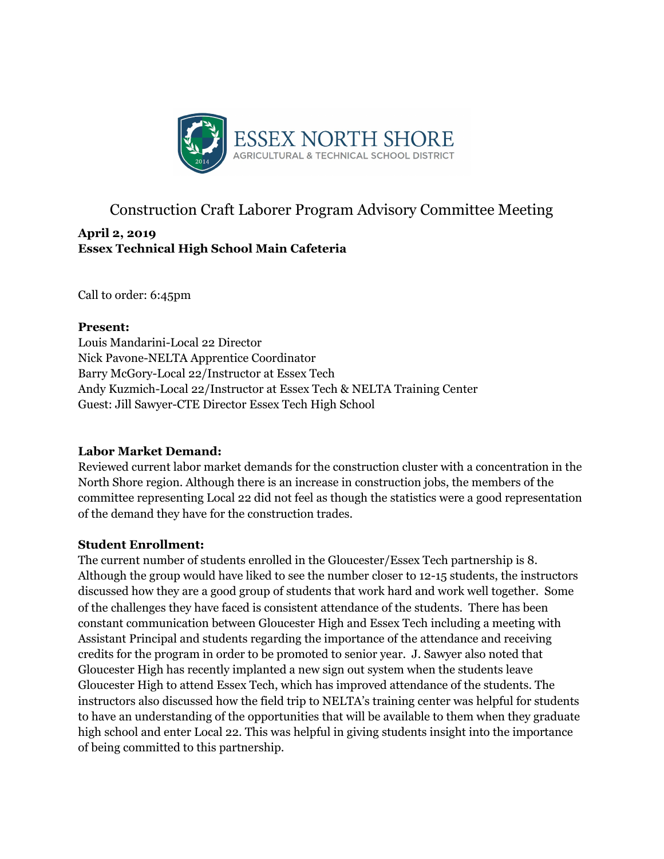

# Construction Craft Laborer Program Advisory Committee Meeting

## **April 2, 2019 Essex Technical High School Main Cafeteria**

Call to order: 6:45pm

#### **Present:**

Louis Mandarini-Local 22 Director Nick Pavone-NELTA Apprentice Coordinator Barry McGory-Local 22/Instructor at Essex Tech Andy Kuzmich-Local 22/Instructor at Essex Tech & NELTA Training Center Guest: Jill Sawyer-CTE Director Essex Tech High School

## **Labor Market Demand:**

Reviewed current labor market demands for the construction cluster with a concentration in the North Shore region. Although there is an increase in construction jobs, the members of the committee representing Local 22 did not feel as though the statistics were a good representation of the demand they have for the construction trades.

## **Student Enrollment:**

The current number of students enrolled in the Gloucester/Essex Tech partnership is 8. Although the group would have liked to see the number closer to 12-15 students, the instructors discussed how they are a good group of students that work hard and work well together. Some of the challenges they have faced is consistent attendance of the students. There has been constant communication between Gloucester High and Essex Tech including a meeting with Assistant Principal and students regarding the importance of the attendance and receiving credits for the program in order to be promoted to senior year. J. Sawyer also noted that Gloucester High has recently implanted a new sign out system when the students leave Gloucester High to attend Essex Tech, which has improved attendance of the students. The instructors also discussed how the field trip to NELTA's training center was helpful for students to have an understanding of the opportunities that will be available to them when they graduate high school and enter Local 22. This was helpful in giving students insight into the importance of being committed to this partnership.